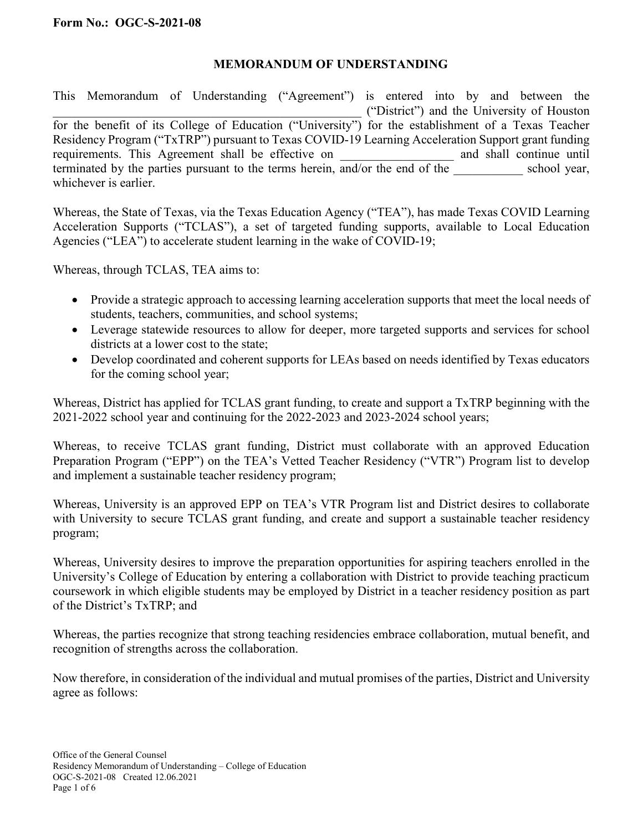## **MEMORANDUM OF UNDERSTANDING**

This Memorandum of Understanding ("Agreement") is entered into by and between the \_\_\_\_\_\_\_\_\_\_\_\_\_\_\_\_\_\_\_\_\_\_\_\_\_\_\_\_\_\_\_\_\_\_\_\_\_\_\_\_\_\_\_\_\_\_\_\_\_ ("District") and the University of Houston for the benefit of its College of Education ("University") for the establishment of a Texas Teacher Residency Program ("TxTRP") pursuant to Texas COVID-19 Learning Acceleration Support grant funding requirements. This Agreement shall be effective on and shall continue until requirements. This Agreement shall be effective on terminated by the parties pursuant to the terms herein, and/or the end of the  $\sim$  school year, whichever is earlier.

Whereas, the State of Texas, via the Texas Education Agency ("TEA"), has made Texas COVID Learning Acceleration Supports ("TCLAS"), a set of targeted funding supports, available to Local Education Agencies ("LEA") to accelerate student learning in the wake of COVID-19;

Whereas, through TCLAS, TEA aims to:

- Provide a strategic approach to accessing learning acceleration supports that meet the local needs of students, teachers, communities, and school systems;
- Leverage statewide resources to allow for deeper, more targeted supports and services for school districts at a lower cost to the state;
- Develop coordinated and coherent supports for LEAs based on needs identified by Texas educators for the coming school year;

Whereas, District has applied for TCLAS grant funding, to create and support a TxTRP beginning with the 2021-2022 school year and continuing for the 2022-2023 and 2023-2024 school years;

Whereas, to receive TCLAS grant funding, District must collaborate with an approved Education Preparation Program ("EPP") on the TEA's Vetted Teacher Residency ("VTR") Program list to develop and implement a sustainable teacher residency program;

Whereas, University is an approved EPP on TEA's VTR Program list and District desires to collaborate with University to secure TCLAS grant funding, and create and support a sustainable teacher residency program;

Whereas, University desires to improve the preparation opportunities for aspiring teachers enrolled in the University's College of Education by entering a collaboration with District to provide teaching practicum coursework in which eligible students may be employed by District in a teacher residency position as part of the District's TxTRP; and

Whereas, the parties recognize that strong teaching residencies embrace collaboration, mutual benefit, and recognition of strengths across the collaboration.

Now therefore, in consideration of the individual and mutual promises of the parties, District and University agree as follows: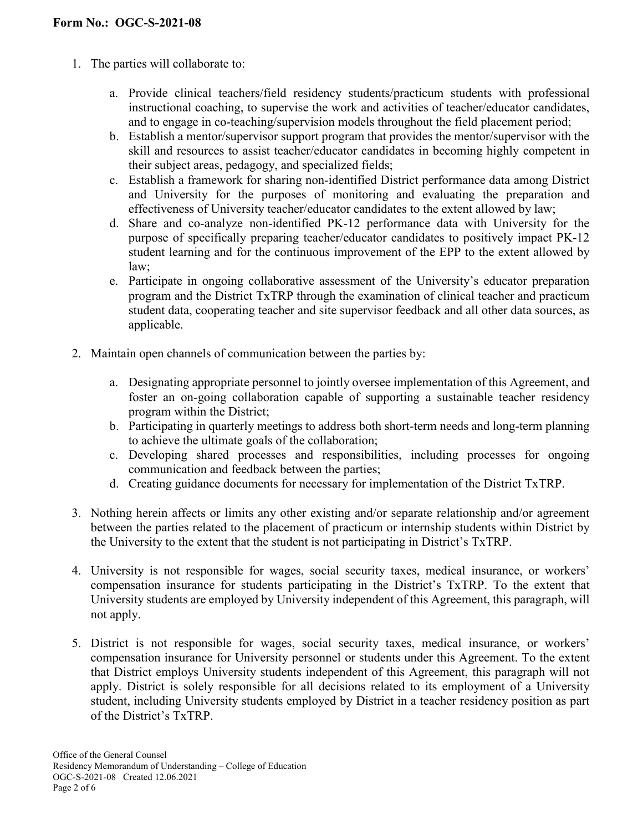- 1. The parties will collaborate to:
	- a. Provide clinical teachers/field residency students/practicum students with professional instructional coaching, to supervise the work and activities of teacher/educator candidates, and to engage in co-teaching/supervision models throughout the field placement period;
	- b. Establish a mentor/supervisor support program that provides the mentor/supervisor with the skill and resources to assist teacher/educator candidates in becoming highly competent in their subject areas, pedagogy, and specialized fields;
	- c. Establish a framework for sharing non-identified District performance data among District and University for the purposes of monitoring and evaluating the preparation and effectiveness of University teacher/educator candidates to the extent allowed by law;
	- d. Share and co-analyze non-identified PK-12 performance data with University for the purpose of specifically preparing teacher/educator candidates to positively impact PK-12 student learning and for the continuous improvement of the EPP to the extent allowed by law;
	- e. Participate in ongoing collaborative assessment of the University's educator preparation program and the District TxTRP through the examination of clinical teacher and practicum student data, cooperating teacher and site supervisor feedback and all other data sources, as applicable.
- 2. Maintain open channels of communication between the parties by:
	- a. Designating appropriate personnel to jointly oversee implementation of this Agreement, and foster an on-going collaboration capable of supporting a sustainable teacher residency program within the District;
	- b. Participating in quarterly meetings to address both short-term needs and long-term planning to achieve the ultimate goals of the collaboration;
	- c. Developing shared processes and responsibilities, including processes for ongoing communication and feedback between the parties;
	- d. Creating guidance documents for necessary for implementation of the District TxTRP.
- 3. Nothing herein affects or limits any other existing and/or separate relationship and/or agreement between the parties related to the placement of practicum or internship students within District by the University to the extent that the student is not participating in District's TxTRP.
- 4. University is not responsible for wages, social security taxes, medical insurance, or workers' compensation insurance for students participating in the District's TxTRP. To the extent that University students are employed by University independent of this Agreement, this paragraph, will not apply.
- 5. District is not responsible for wages, social security taxes, medical insurance, or workers' compensation insurance for University personnel or students under this Agreement. To the extent that District employs University students independent of this Agreement, this paragraph will not apply. District is solely responsible for all decisions related to its employment of a University student, including University students employed by District in a teacher residency position as part of the District's TxTRP.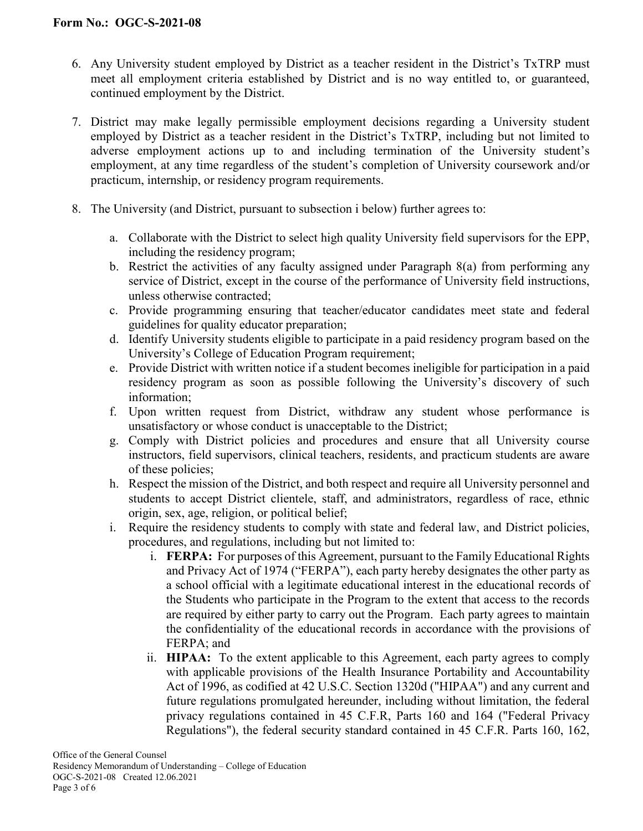- 6. Any University student employed by District as a teacher resident in the District's TxTRP must meet all employment criteria established by District and is no way entitled to, or guaranteed, continued employment by the District.
- 7. District may make legally permissible employment decisions regarding a University student employed by District as a teacher resident in the District's TxTRP, including but not limited to adverse employment actions up to and including termination of the University student's employment, at any time regardless of the student's completion of University coursework and/or practicum, internship, or residency program requirements.
- 8. The University (and District, pursuant to subsection i below) further agrees to:
	- a. Collaborate with the District to select high quality University field supervisors for the EPP, including the residency program;
	- b. Restrict the activities of any faculty assigned under Paragraph 8(a) from performing any service of District, except in the course of the performance of University field instructions, unless otherwise contracted;
	- c. Provide programming ensuring that teacher/educator candidates meet state and federal guidelines for quality educator preparation;
	- d. Identify University students eligible to participate in a paid residency program based on the University's College of Education Program requirement;
	- e. Provide District with written notice if a student becomes ineligible for participation in a paid residency program as soon as possible following the University's discovery of such information;
	- f. Upon written request from District, withdraw any student whose performance is unsatisfactory or whose conduct is unacceptable to the District;
	- g. Comply with District policies and procedures and ensure that all University course instructors, field supervisors, clinical teachers, residents, and practicum students are aware of these policies;
	- h. Respect the mission of the District, and both respect and require all University personnel and students to accept District clientele, staff, and administrators, regardless of race, ethnic origin, sex, age, religion, or political belief;
	- i. Require the residency students to comply with state and federal law, and District policies, procedures, and regulations, including but not limited to:
		- i. **FERPA:** For purposes of this Agreement, pursuant to the Family Educational Rights and Privacy Act of 1974 ("FERPA"), each party hereby designates the other party as a school official with a legitimate educational interest in the educational records of the Students who participate in the Program to the extent that access to the records are required by either party to carry out the Program. Each party agrees to maintain the confidentiality of the educational records in accordance with the provisions of FERPA; and
		- ii. **HIPAA:** To the extent applicable to this Agreement, each party agrees to comply with applicable provisions of the Health Insurance Portability and Accountability Act of 1996, as codified at 42 U.S.C. Section 1320d ("HIPAA") and any current and future regulations promulgated hereunder, including without limitation, the federal privacy regulations contained in 45 C.F.R, Parts 160 and 164 ("Federal Privacy Regulations"), the federal security standard contained in 45 C.F.R. Parts 160, 162,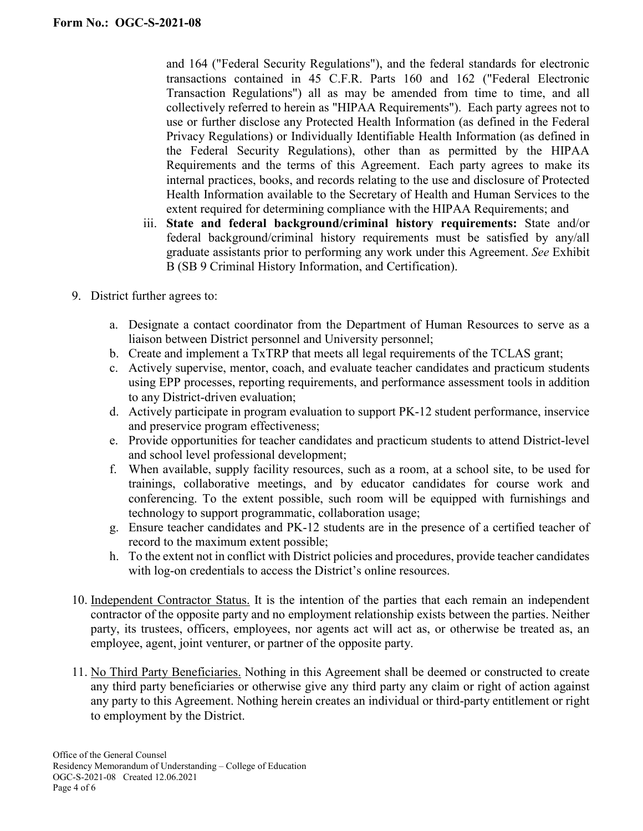and 164 ("Federal Security Regulations"), and the federal standards for electronic transactions contained in 45 C.F.R. Parts 160 and 162 ("Federal Electronic Transaction Regulations") all as may be amended from time to time, and all collectively referred to herein as "HIPAA Requirements"). Each party agrees not to use or further disclose any Protected Health Information (as defined in the Federal Privacy Regulations) or Individually Identifiable Health Information (as defined in the Federal Security Regulations), other than as permitted by the HIPAA Requirements and the terms of this Agreement. Each party agrees to make its internal practices, books, and records relating to the use and disclosure of Protected Health Information available to the Secretary of Health and Human Services to the extent required for determining compliance with the HIPAA Requirements; and

- iii. **State and federal background/criminal history requirements:** State and/or federal background/criminal history requirements must be satisfied by any/all graduate assistants prior to performing any work under this Agreement. *See* Exhibit B (SB 9 Criminal History Information, and Certification).
- 9. District further agrees to:
	- a. Designate a contact coordinator from the Department of Human Resources to serve as a liaison between District personnel and University personnel;
	- b. Create and implement a TxTRP that meets all legal requirements of the TCLAS grant;
	- c. Actively supervise, mentor, coach, and evaluate teacher candidates and practicum students using EPP processes, reporting requirements, and performance assessment tools in addition to any District-driven evaluation;
	- d. Actively participate in program evaluation to support PK-12 student performance, inservice and preservice program effectiveness;
	- e. Provide opportunities for teacher candidates and practicum students to attend District-level and school level professional development;
	- f. When available, supply facility resources, such as a room, at a school site, to be used for trainings, collaborative meetings, and by educator candidates for course work and conferencing. To the extent possible, such room will be equipped with furnishings and technology to support programmatic, collaboration usage;
	- g. Ensure teacher candidates and PK-12 students are in the presence of a certified teacher of record to the maximum extent possible;
	- h. To the extent not in conflict with District policies and procedures, provide teacher candidates with log-on credentials to access the District's online resources.
- 10. Independent Contractor Status. It is the intention of the parties that each remain an independent contractor of the opposite party and no employment relationship exists between the parties. Neither party, its trustees, officers, employees, nor agents act will act as, or otherwise be treated as, an employee, agent, joint venturer, or partner of the opposite party.
- 11. No Third Party Beneficiaries. Nothing in this Agreement shall be deemed or constructed to create any third party beneficiaries or otherwise give any third party any claim or right of action against any party to this Agreement. Nothing herein creates an individual or third-party entitlement or right to employment by the District.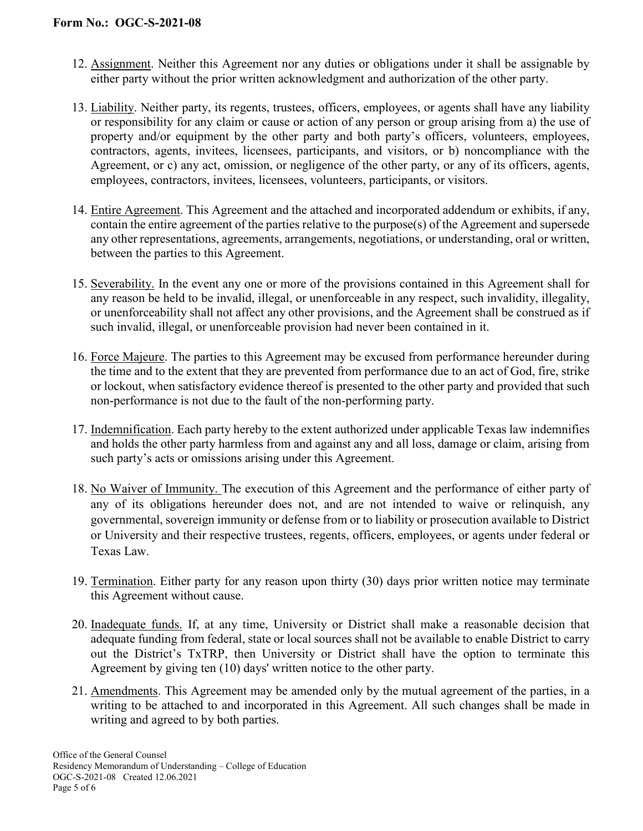- 12. Assignment. Neither this Agreement nor any duties or obligations under it shall be assignable by either party without the prior written acknowledgment and authorization of the other party.
- 13. Liability. Neither party, its regents, trustees, officers, employees, or agents shall have any liability or responsibility for any claim or cause or action of any person or group arising from a) the use of property and/or equipment by the other party and both party's officers, volunteers, employees, contractors, agents, invitees, licensees, participants, and visitors, or b) noncompliance with the Agreement, or c) any act, omission, or negligence of the other party, or any of its officers, agents, employees, contractors, invitees, licensees, volunteers, participants, or visitors.
- 14. Entire Agreement. This Agreement and the attached and incorporated addendum or exhibits, if any, contain the entire agreement of the parties relative to the purpose(s) of the Agreement and supersede any other representations, agreements, arrangements, negotiations, or understanding, oral or written, between the parties to this Agreement.
- 15. Severability. In the event any one or more of the provisions contained in this Agreement shall for any reason be held to be invalid, illegal, or unenforceable in any respect, such invalidity, illegality, or unenforceability shall not affect any other provisions, and the Agreement shall be construed as if such invalid, illegal, or unenforceable provision had never been contained in it.
- 16. Force Majeure. The parties to this Agreement may be excused from performance hereunder during the time and to the extent that they are prevented from performance due to an act of God, fire, strike or lockout, when satisfactory evidence thereof is presented to the other party and provided that such non-performance is not due to the fault of the non-performing party.
- 17. Indemnification. Each party hereby to the extent authorized under applicable Texas law indemnifies and holds the other party harmless from and against any and all loss, damage or claim, arising from such party's acts or omissions arising under this Agreement.
- 18. No Waiver of Immunity. The execution of this Agreement and the performance of either party of any of its obligations hereunder does not, and are not intended to waive or relinquish, any governmental, sovereign immunity or defense from or to liability or prosecution available to District or University and their respective trustees, regents, officers, employees, or agents under federal or Texas Law.
- 19. Termination. Either party for any reason upon thirty (30) days prior written notice may terminate this Agreement without cause.
- 20. Inadequate funds. If, at any time, University or District shall make a reasonable decision that adequate funding from federal, state or local sources shall not be available to enable District to carry out the District's TxTRP, then University or District shall have the option to terminate this Agreement by giving ten (10) days' written notice to the other party.
- 21. Amendments. This Agreement may be amended only by the mutual agreement of the parties, in a writing to be attached to and incorporated in this Agreement. All such changes shall be made in writing and agreed to by both parties.